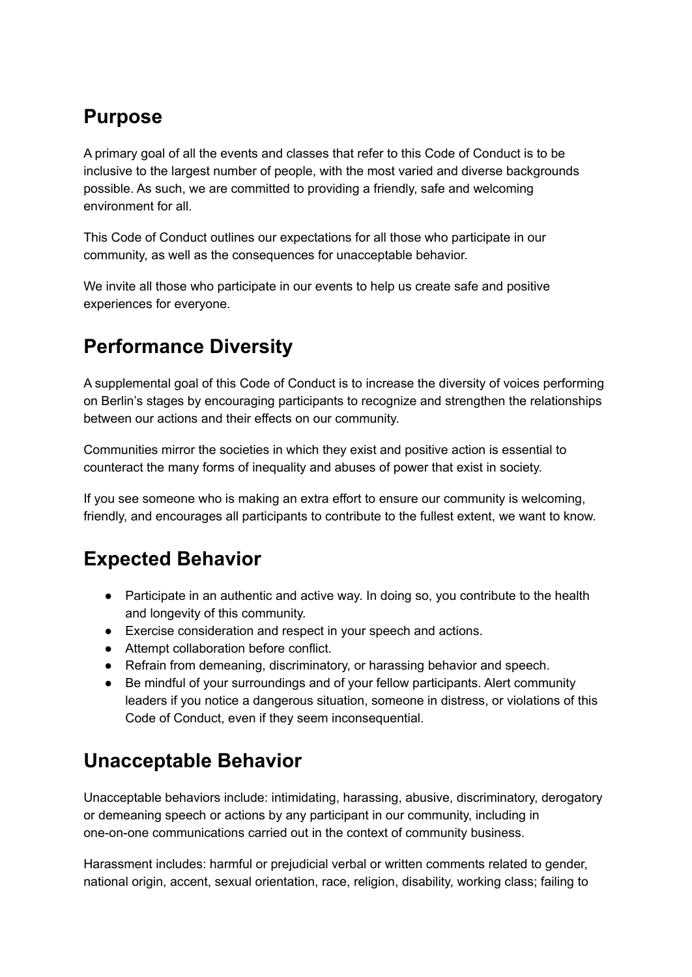# **Purpose**

A primary goal of all the events and classes that refer to this Code of Conduct is to be inclusive to the largest number of people, with the most varied and diverse backgrounds possible. As such, we are committed to providing a friendly, safe and welcoming environment for all.

This Code of Conduct outlines our expectations for all those who participate in our community, as well as the consequences for unacceptable behavior.

We invite all those who participate in our events to help us create safe and positive experiences for everyone.

## **Performance Diversity**

A supplemental goal of this Code of Conduct is to increase the diversity of voices performing on Berlin's stages by encouraging participants to recognize and strengthen the relationships between our actions and their effects on our community.

Communities mirror the societies in which they exist and positive action is essential to counteract the many forms of inequality and abuses of power that exist in society.

If you see someone who is making an extra effort to ensure our community is welcoming, friendly, and encourages all participants to contribute to the fullest extent, we want to know.

### **Expected Behavior**

- Participate in an authentic and active way. In doing so, you contribute to the health and longevity of this community.
- Exercise consideration and respect in your speech and actions.
- Attempt collaboration before conflict.
- Refrain from demeaning, discriminatory, or harassing behavior and speech.
- Be mindful of your surroundings and of your fellow participants. Alert community leaders if you notice a dangerous situation, someone in distress, or violations of this Code of Conduct, even if they seem inconsequential.

### **Unacceptable Behavior**

Unacceptable behaviors include: intimidating, harassing, abusive, discriminatory, derogatory or demeaning speech or actions by any participant in our community, including in one-on-one communications carried out in the context of community business.

Harassment includes: harmful or prejudicial verbal or written comments related to gender, national origin, accent, sexual orientation, race, religion, disability, working class; failing to